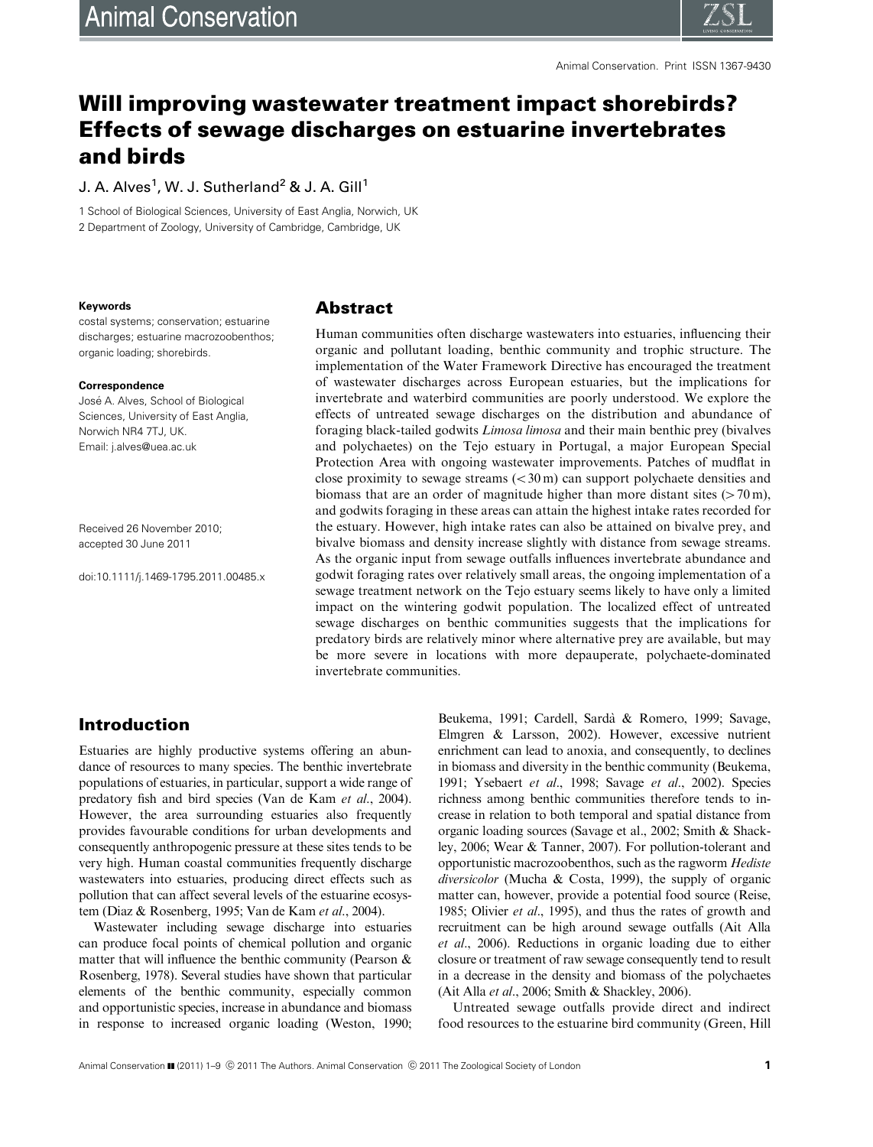

# Will improving wastewater treatment impact shorebirds? Effects of sewage discharges on estuarine invertebrates and birds

J. A. Alves $^1$ , W. J. Sutherland $^2$  & J. A. Gill $^1$ 

1 School of Biological Sciences, University of East Anglia, Norwich, UK 2 Department of Zoology, University of Cambridge, Cambridge, UK

#### **Keywords**

costal systems; conservation; estuarine discharges; estuarine macrozoobenthos; organic loading; shorebirds.

#### **Correspondence**

José A. Alves, School of Biological Sciences, University of East Anglia, Norwich NR4 7TJ, UK. Email: [j.alves@uea.ac.uk](mailto:j.alves@uea.ac.uk)

Received 26 November 2010; accepted 30 June 2011

doi:10.1111/j.1469-1795.2011.00485.x

#### Abstract

Human communities often discharge wastewaters into estuaries, influencing their organic and pollutant loading, benthic community and trophic structure. The implementation of the Water Framework Directive has encouraged the treatment of wastewater discharges across European estuaries, but the implications for invertebrate and waterbird communities are poorly understood. We explore the effects of untreated sewage discharges on the distribution and abundance of foraging black-tailed godwits Limosa limosa and their main benthic prey (bivalves and polychaetes) on the Tejo estuary in Portugal, a major European Special Protection Area with ongoing wastewater improvements. Patches of mudflat in close proximity to sewage streams  $\left($  < 30 m) can support polychaete densities and biomass that are an order of magnitude higher than more distant sites  $(>70 \,\mathrm{m})$ , and godwits foraging in these areas can attain the highest intake rates recorded for the estuary. However, high intake rates can also be attained on bivalve prey, and bivalve biomass and density increase slightly with distance from sewage streams. As the organic input from sewage outfalls influences invertebrate abundance and godwit foraging rates over relatively small areas, the ongoing implementation of a sewage treatment network on the Tejo estuary seems likely to have only a limited impact on the wintering godwit population. The localized effect of untreated sewage discharges on benthic communities suggests that the implications for predatory birds are relatively minor where alternative prey are available, but may be more severe in locations with more depauperate, polychaete-dominated invertebrate communities.

# Introduction

Estuaries are highly productive systems offering an abundance of resources to many species. The benthic invertebrate populations of estuaries, in particular, support a wide range of predatory fish and bird species (Van de Kam et al., 2004). However, the area surrounding estuaries also frequently provides favourable conditions for urban developments and consequently anthropogenic pressure at these sites tends to be very high. Human coastal communities frequently discharge wastewaters into estuaries, producing direct effects such as pollution that can affect several levels of the estuarine ecosystem (Diaz & Rosenberg, 1995; Van de Kam et al., 2004).

Wastewater including sewage discharge into estuaries can produce focal points of chemical pollution and organic matter that will influence the benthic community (Pearson & Rosenberg, 1978). Several studies have shown that particular elements of the benthic community, especially common and opportunistic species, increase in abundance and biomass in response to increased organic loading (Weston, 1990;

Beukema, 1991; Cardell, Sarda` & Romero, 1999; Savage, Elmgren & Larsson, 2002). However, excessive nutrient enrichment can lead to anoxia, and consequently, to declines in biomass and diversity in the benthic community (Beukema, 1991; Ysebaert et al., 1998; Savage et al., 2002). Species richness among benthic communities therefore tends to increase in relation to both temporal and spatial distance from organic loading sources (Savage et al., 2002; Smith & Shackley, 2006; Wear & Tanner, 2007). For pollution-tolerant and opportunistic macrozoobenthos, such as the ragworm Hediste diversicolor (Mucha & Costa, 1999), the supply of organic matter can, however, provide a potential food source (Reise, 1985; Olivier et al., 1995), and thus the rates of growth and recruitment can be high around sewage outfalls (Ait Alla et al., 2006). Reductions in organic loading due to either closure or treatment of raw sewage consequently tend to result in a decrease in the density and biomass of the polychaetes (Ait Alla et al., 2006; Smith & Shackley, 2006).

Untreated sewage outfalls provide direct and indirect food resources to the estuarine bird community (Green, Hill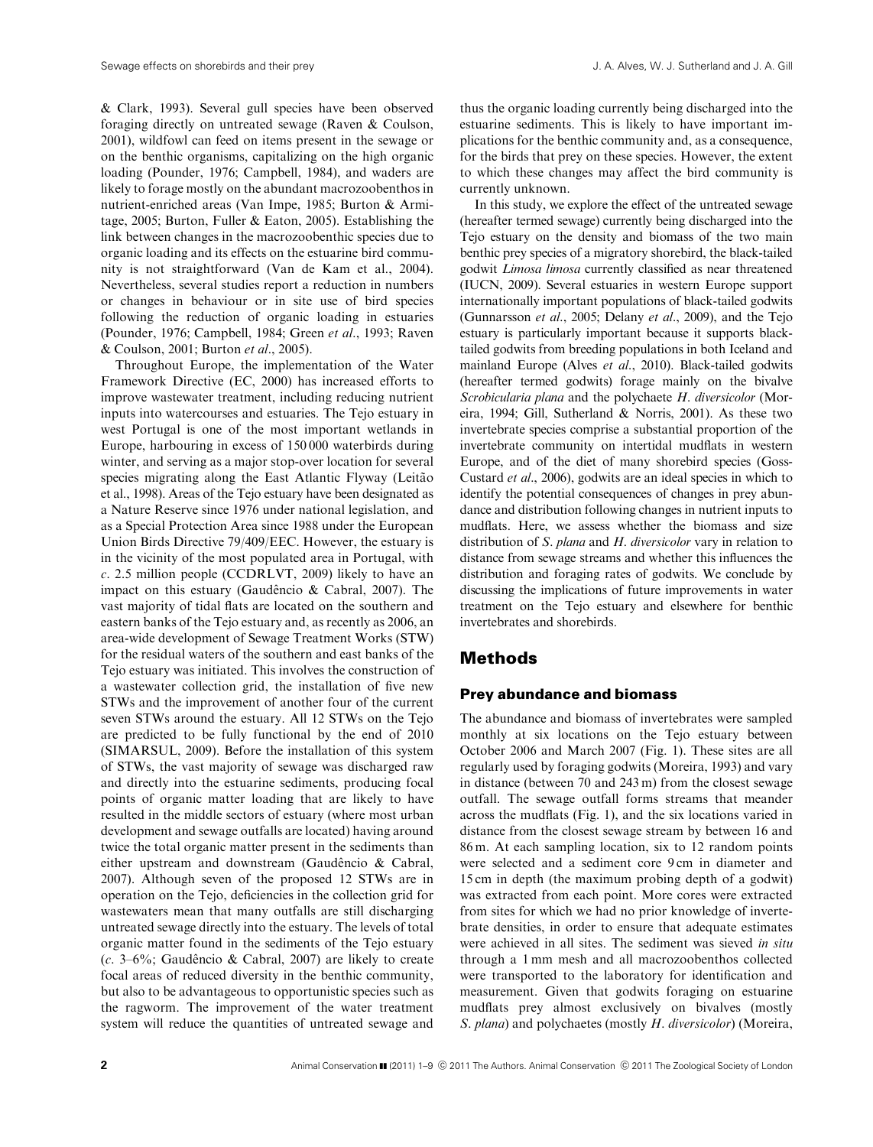& Clark, 1993). Several gull species have been observed foraging directly on untreated sewage (Raven & Coulson, 2001), wildfowl can feed on items present in the sewage or on the benthic organisms, capitalizing on the high organic loading (Pounder, 1976; Campbell, 1984), and waders are likely to forage mostly on the abundant macrozoobenthos in nutrient-enriched areas (Van Impe, 1985; Burton & Armitage, 2005; Burton, Fuller & Eaton, 2005). Establishing the link between changes in the macrozoobenthic species due to organic loading and its effects on the estuarine bird community is not straightforward (Van de Kam et al., 2004). Nevertheless, several studies report a reduction in numbers or changes in behaviour or in site use of bird species following the reduction of organic loading in estuaries (Pounder, 1976; Campbell, 1984; Green et al., 1993; Raven & Coulson, 2001; Burton et al., 2005).

Throughout Europe, the implementation of the Water Framework Directive (EC, 2000) has increased efforts to improve wastewater treatment, including reducing nutrient inputs into watercourses and estuaries. The Tejo estuary in west Portugal is one of the most important wetlands in Europe, harbouring in excess of 150 000 waterbirds during winter, and serving as a major stop-over location for several species migrating along the East Atlantic Flyway (Leitão et al., 1998). Areas of the Tejo estuary have been designated as a Nature Reserve since 1976 under national legislation, and as a Special Protection Area since 1988 under the European Union Birds Directive 79/409/EEC. However, the estuary is in the vicinity of the most populated area in Portugal, with c. 2.5 million people (CCDRLVT, 2009) likely to have an impact on this estuary (Gaudêncio & Cabral, 2007). The vast majority of tidal flats are located on the southern and eastern banks of the Tejo estuary and, as recently as 2006, an area-wide development of Sewage Treatment Works (STW) for the residual waters of the southern and east banks of the Tejo estuary was initiated. This involves the construction of a wastewater collection grid, the installation of five new STWs and the improvement of another four of the current seven STWs around the estuary. All 12 STWs on the Tejo are predicted to be fully functional by the end of 2010 (SIMARSUL, 2009). Before the installation of this system of STWs, the vast majority of sewage was discharged raw and directly into the estuarine sediments, producing focal points of organic matter loading that are likely to have resulted in the middle sectors of estuary (where most urban development and sewage outfalls are located) having around twice the total organic matter present in the sediments than either upstream and downstream (Gaudêncio  $\&$  Cabral, 2007). Although seven of the proposed 12 STWs are in operation on the Tejo, deficiencies in the collection grid for wastewaters mean that many outfalls are still discharging untreated sewage directly into the estuary. The levels of total organic matter found in the sediments of the Tejo estuary (c. 3–6%; Gaudêncio & Cabral, 2007) are likely to create focal areas of reduced diversity in the benthic community, but also to be advantageous to opportunistic species such as the ragworm. The improvement of the water treatment system will reduce the quantities of untreated sewage and

thus the organic loading currently being discharged into the estuarine sediments. This is likely to have important implications for the benthic community and, as a consequence, for the birds that prey on these species. However, the extent to which these changes may affect the bird community is currently unknown.

In this study, we explore the effect of the untreated sewage (hereafter termed sewage) currently being discharged into the Tejo estuary on the density and biomass of the two main benthic prey species of a migratory shorebird, the black-tailed godwit Limosa limosa currently classified as near threatened (IUCN, 2009). Several estuaries in western Europe support internationally important populations of black-tailed godwits (Gunnarsson et al., 2005; Delany et al., 2009), and the Tejo estuary is particularly important because it supports blacktailed godwits from breeding populations in both Iceland and mainland Europe (Alves et al., 2010). Black-tailed godwits (hereafter termed godwits) forage mainly on the bivalve Scrobicularia plana and the polychaete H. diversicolor (Moreira, 1994; Gill, Sutherland & Norris, 2001). As these two invertebrate species comprise a substantial proportion of the invertebrate community on intertidal mudflats in western Europe, and of the diet of many shorebird species (Goss-Custard et al., 2006), godwits are an ideal species in which to identify the potential consequences of changes in prey abundance and distribution following changes in nutrient inputs to mudflats. Here, we assess whether the biomass and size distribution of *S. plana* and *H. diversicolor* vary in relation to distance from sewage streams and whether this influences the distribution and foraging rates of godwits. We conclude by discussing the implications of future improvements in water treatment on the Tejo estuary and elsewhere for benthic invertebrates and shorebirds.

# Methods

#### Prey abundance and biomass

The abundance and biomass of invertebrates were sampled monthly at six locations on the Tejo estuary between October 2006 and March 2007 (Fig. 1). These sites are all regularly used by foraging godwits (Moreira, 1993) and vary in distance (between 70 and 243 m) from the closest sewage outfall. The sewage outfall forms streams that meander across the mudflats (Fig. 1), and the six locations varied in distance from the closest sewage stream by between 16 and 86 m. At each sampling location, six to 12 random points were selected and a sediment core 9 cm in diameter and 15 cm in depth (the maximum probing depth of a godwit) was extracted from each point. More cores were extracted from sites for which we had no prior knowledge of invertebrate densities, in order to ensure that adequate estimates were achieved in all sites. The sediment was sieved in situ through a 1 mm mesh and all macrozoobenthos collected were transported to the laboratory for identification and measurement. Given that godwits foraging on estuarine mudflats prey almost exclusively on bivalves (mostly S. plana) and polychaetes (mostly H. diversicolor) (Moreira,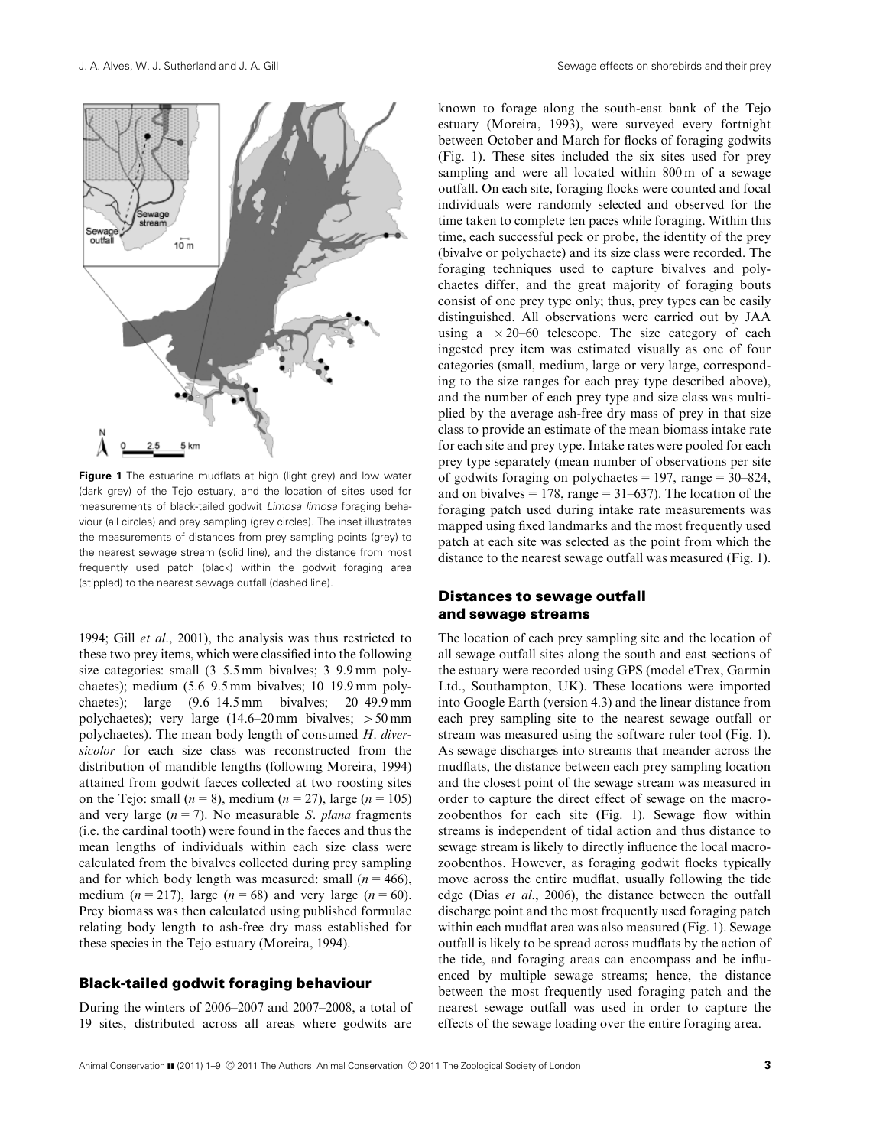

**Figure 1** The estuarine mudflats at high (light grey) and low water (dark grey) of the Tejo estuary, and the location of sites used for measurements of black-tailed godwit Limosa limosa foraging behaviour (all circles) and prey sampling (grey circles). The inset illustrates the measurements of distances from prey sampling points (grey) to the nearest sewage stream (solid line), and the distance from most frequently used patch (black) within the godwit foraging area (stippled) to the nearest sewage outfall (dashed line).

1994; Gill et al., 2001), the analysis was thus restricted to these two prey items, which were classified into the following size categories: small (3–5.5 mm bivalves; 3–9.9 mm polychaetes); medium (5.6–9.5 mm bivalves; 10–19.9 mm polychaetes); large (9.6–14.5 mm bivalves; 20–49.9 mm polychaetes); very large  $(14.6-20 \text{ mm}$  bivalves;  $> 50 \text{ mm}$ polychaetes). The mean body length of consumed H. diversicolor for each size class was reconstructed from the distribution of mandible lengths (following Moreira, 1994) attained from godwit faeces collected at two roosting sites on the Tejo: small ( $n = 8$ ), medium ( $n = 27$ ), large ( $n = 105$ ) and very large  $(n = 7)$ . No measurable *S. plana* fragments (i.e. the cardinal tooth) were found in the faeces and thus the mean lengths of individuals within each size class were calculated from the bivalves collected during prey sampling and for which body length was measured: small  $(n = 466)$ , medium ( $n = 217$ ), large ( $n = 68$ ) and very large ( $n = 60$ ). Prey biomass was then calculated using published formulae relating body length to ash-free dry mass established for these species in the Tejo estuary (Moreira, 1994).

#### Black-tailed godwit foraging behaviour

During the winters of 2006–2007 and 2007–2008, a total of 19 sites, distributed across all areas where godwits are known to forage along the south-east bank of the Tejo estuary (Moreira, 1993), were surveyed every fortnight between October and March for flocks of foraging godwits (Fig. 1). These sites included the six sites used for prey sampling and were all located within 800 m of a sewage outfall. On each site, foraging flocks were counted and focal individuals were randomly selected and observed for the time taken to complete ten paces while foraging. Within this time, each successful peck or probe, the identity of the prey (bivalve or polychaete) and its size class were recorded. The foraging techniques used to capture bivalves and polychaetes differ, and the great majority of foraging bouts consist of one prey type only; thus, prey types can be easily distinguished. All observations were carried out by JAA using a  $\times$  20–60 telescope. The size category of each ingested prey item was estimated visually as one of four categories (small, medium, large or very large, corresponding to the size ranges for each prey type described above), and the number of each prey type and size class was multiplied by the average ash-free dry mass of prey in that size class to provide an estimate of the mean biomass intake rate for each site and prey type. Intake rates were pooled for each prey type separately (mean number of observations per site of godwits foraging on polychaetes =  $197$ , range =  $30-824$ , and on bivalves =  $178$ , range =  $31-637$ ). The location of the foraging patch used during intake rate measurements was mapped using fixed landmarks and the most frequently used patch at each site was selected as the point from which the distance to the nearest sewage outfall was measured (Fig. 1).

## Distances to sewage outfall and sewage streams

The location of each prey sampling site and the location of all sewage outfall sites along the south and east sections of the estuary were recorded using GPS (model eTrex, Garmin Ltd., Southampton, UK). These locations were imported into Google Earth (version 4.3) and the linear distance from each prey sampling site to the nearest sewage outfall or stream was measured using the software ruler tool (Fig. 1). As sewage discharges into streams that meander across the mudflats, the distance between each prey sampling location and the closest point of the sewage stream was measured in order to capture the direct effect of sewage on the macrozoobenthos for each site (Fig. 1). Sewage flow within streams is independent of tidal action and thus distance to sewage stream is likely to directly influence the local macrozoobenthos. However, as foraging godwit flocks typically move across the entire mudflat, usually following the tide edge (Dias et al., 2006), the distance between the outfall discharge point and the most frequently used foraging patch within each mudflat area was also measured (Fig. 1). Sewage outfall is likely to be spread across mudflats by the action of the tide, and foraging areas can encompass and be influenced by multiple sewage streams; hence, the distance between the most frequently used foraging patch and the nearest sewage outfall was used in order to capture the effects of the sewage loading over the entire foraging area.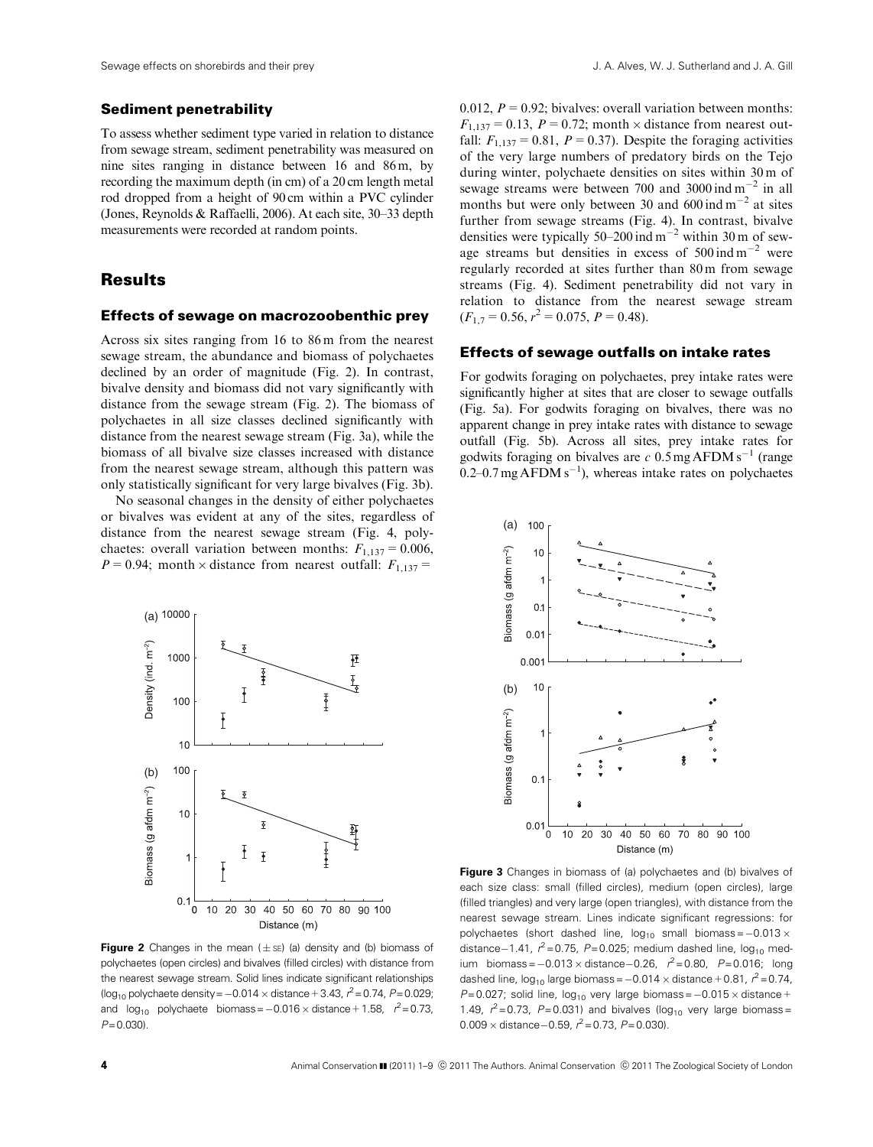#### Sediment penetrability

To assess whether sediment type varied in relation to distance from sewage stream, sediment penetrability was measured on nine sites ranging in distance between 16 and 86 m, by recording the maximum depth (in cm) of a 20 cm length metal rod dropped from a height of 90 cm within a PVC cylinder (Jones, Reynolds & Raffaelli, 2006). At each site, 30–33 depth measurements were recorded at random points.

# **Results**

#### Effects of sewage on macrozoobenthic prey

Across six sites ranging from 16 to 86 m from the nearest sewage stream, the abundance and biomass of polychaetes declined by an order of magnitude (Fig. 2). In contrast, bivalve density and biomass did not vary significantly with distance from the sewage stream (Fig. 2). The biomass of polychaetes in all size classes declined significantly with distance from the nearest sewage stream (Fig. 3a), while the biomass of all bivalve size classes increased with distance from the nearest sewage stream, although this pattern was only statistically significant for very large bivalves (Fig. 3b).

No seasonal changes in the density of either polychaetes or bivalves was evident at any of the sites, regardless of distance from the nearest sewage stream (Fig. 4, polychaetes: overall variation between months:  $F_{1,137} = 0.006$ ,  $P = 0.94$ ; month  $\times$  distance from nearest outfall:  $F_{1,137}$ =



**Figure 2** Changes in the mean  $(\pm s)\$  (a) density and (b) biomass of polychaetes (open circles) and bivalves (filled circles) with distance from the nearest sewage stream. Solid lines indicate significant relationships ( $log_{10}$  polychaete density = -0.014  $\times$  distance + 3.43,  $r^2$  = 0.74, P = 0.029; and  $log_{10}$  polychaete biomass =  $-0.016 \times$  distance + 1.58,  $r^2 = 0.73$ ,  $P = 0.030$ 

0.012,  $P = 0.92$ ; bivalves: overall variation between months:  $F_{1,137} = 0.13$ ,  $P = 0.72$ ; month  $\times$  distance from nearest outfall:  $F_{1,137} = 0.81$ ,  $P = 0.37$ ). Despite the foraging activities of the very large numbers of predatory birds on the Tejo during winter, polychaete densities on sites within 30 m of sewage streams were between 700 and 3000 ind  $m^{-2}$  in all months but were only between 30 and 600 ind  $m^{-2}$  at sites further from sewage streams (Fig. 4). In contrast, bivalve densities were typically 50–200 ind  $m^{-2}$  within 30 m of sewage streams but densities in excess of  $500 \text{ ind m}^{-2}$  were regularly recorded at sites further than 80 m from sewage streams (Fig. 4). Sediment penetrability did not vary in relation to distance from the nearest sewage stream  $(F_{1,7}= 0.56, r^2= 0.075, P= 0.48).$ 

#### Effects of sewage outfalls on intake rates

For godwits foraging on polychaetes, prey intake rates were significantly higher at sites that are closer to sewage outfalls (Fig. 5a). For godwits foraging on bivalves, there was no apparent change in prey intake rates with distance to sewage outfall (Fig. 5b). Across all sites, prey intake rates for godwits foraging on bivalves are c  $0.5$  mg AFDM s<sup>-1</sup> (range 0.2–0.7 mg AFDM  $s^{-1}$ ), whereas intake rates on polychaetes



**Figure 3** Changes in biomass of (a) polychaetes and (b) bivalves of each size class: small (filled circles), medium (open circles), large (filled triangles) and very large (open triangles), with distance from the nearest sewage stream. Lines indicate significant regressions: for polychaetes (short dashed line,  $log_{10}$  small biomass = -0.013  $\times$ distance-1.41,  $r^2 = 0.75$ ,  $P = 0.025$ ; medium dashed line, log<sub>10</sub> medium biomass =  $-0.013 \times$  distance  $-0.26$ ,  $r^2 = 0.80$ ,  $P = 0.016$ ; long dashed line,  $log_{10}$  large biomass = -0.014  $\times$  distance + 0.81,  $r^2$  = 0.74, P=0.027; solid line, log<sub>10</sub> very large biomass= $-0.015 \times$  distance + 1.49,  $r^2 = 0.73$ ,  $P = 0.031$ ) and bivalves (log<sub>10</sub> very large biomass =  $0.009 \times$  distance - 0.59,  $r^2 = 0.73$ ,  $P = 0.030$ ).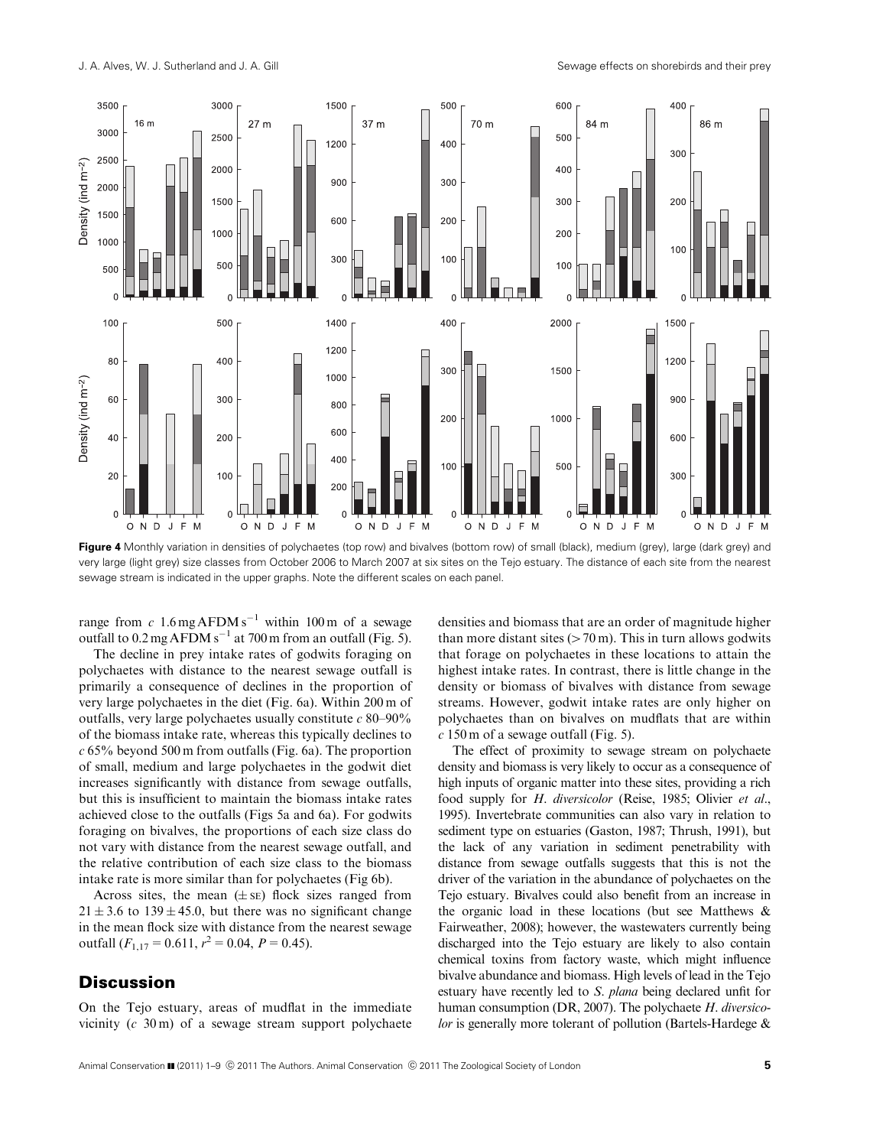

**Figure 4** Monthly variation in densities of polychaetes (top row) and bivalves (bottom row) of small (black), medium (grey), large (dark grey) and very large (light grey) size classes from October 2006 to March 2007 at six sites on the Tejo estuary. The distance of each site from the nearest sewage stream is indicated in the upper graphs. Note the different scales on each panel.

range from c  $1.6$  mg AFDM s<sup>-1</sup> within 100 m of a sewage outfall to  $0.2 \text{ mg AFDM s}^{-1}$  at 700 m from an outfall (Fig. 5).

The decline in prey intake rates of godwits foraging on polychaetes with distance to the nearest sewage outfall is primarily a consequence of declines in the proportion of very large polychaetes in the diet (Fig. 6a). Within 200 m of outfalls, very large polychaetes usually constitute  $c$  80–90% of the biomass intake rate, whereas this typically declines to  $c$  65% beyond 500 m from outfalls (Fig. 6a). The proportion of small, medium and large polychaetes in the godwit diet increases significantly with distance from sewage outfalls, but this is insufficient to maintain the biomass intake rates achieved close to the outfalls (Figs 5a and 6a). For godwits foraging on bivalves, the proportions of each size class do not vary with distance from the nearest sewage outfall, and the relative contribution of each size class to the biomass intake rate is more similar than for polychaetes (Fig 6b).

Across sites, the mean  $(\pm s)$  flock sizes ranged from  $21 \pm 3.6$  to  $139 \pm 45.0$ , but there was no significant change in the mean flock size with distance from the nearest sewage outfall  $(F_{1,17} = 0.611, r^2 = 0.04, P = 0.45)$ .

## **Discussion**

On the Tejo estuary, areas of mudflat in the immediate vicinity  $(c \ 30 \,\mathrm{m})$  of a sewage stream support polychaete

densities and biomass that are an order of magnitude higher than more distant sites  $(5.70 \text{ m})$ . This in turn allows godwits that forage on polychaetes in these locations to attain the highest intake rates. In contrast, there is little change in the density or biomass of bivalves with distance from sewage streams. However, godwit intake rates are only higher on polychaetes than on bivalves on mudflats that are within  $c$  150 m of a sewage outfall (Fig. 5).

The effect of proximity to sewage stream on polychaete density and biomass is very likely to occur as a consequence of high inputs of organic matter into these sites, providing a rich food supply for H. diversicolor (Reise, 1985; Olivier et al., 1995). Invertebrate communities can also vary in relation to sediment type on estuaries (Gaston, 1987; Thrush, 1991), but the lack of any variation in sediment penetrability with distance from sewage outfalls suggests that this is not the driver of the variation in the abundance of polychaetes on the Tejo estuary. Bivalves could also benefit from an increase in the organic load in these locations (but see Matthews & Fairweather, 2008); however, the wastewaters currently being discharged into the Tejo estuary are likely to also contain chemical toxins from factory waste, which might influence bivalve abundance and biomass. High levels of lead in the Tejo estuary have recently led to S. plana being declared unfit for human consumption (DR, 2007). The polychaete H. diversico*lor* is generally more tolerant of pollution (Bartels-Hardege  $\&$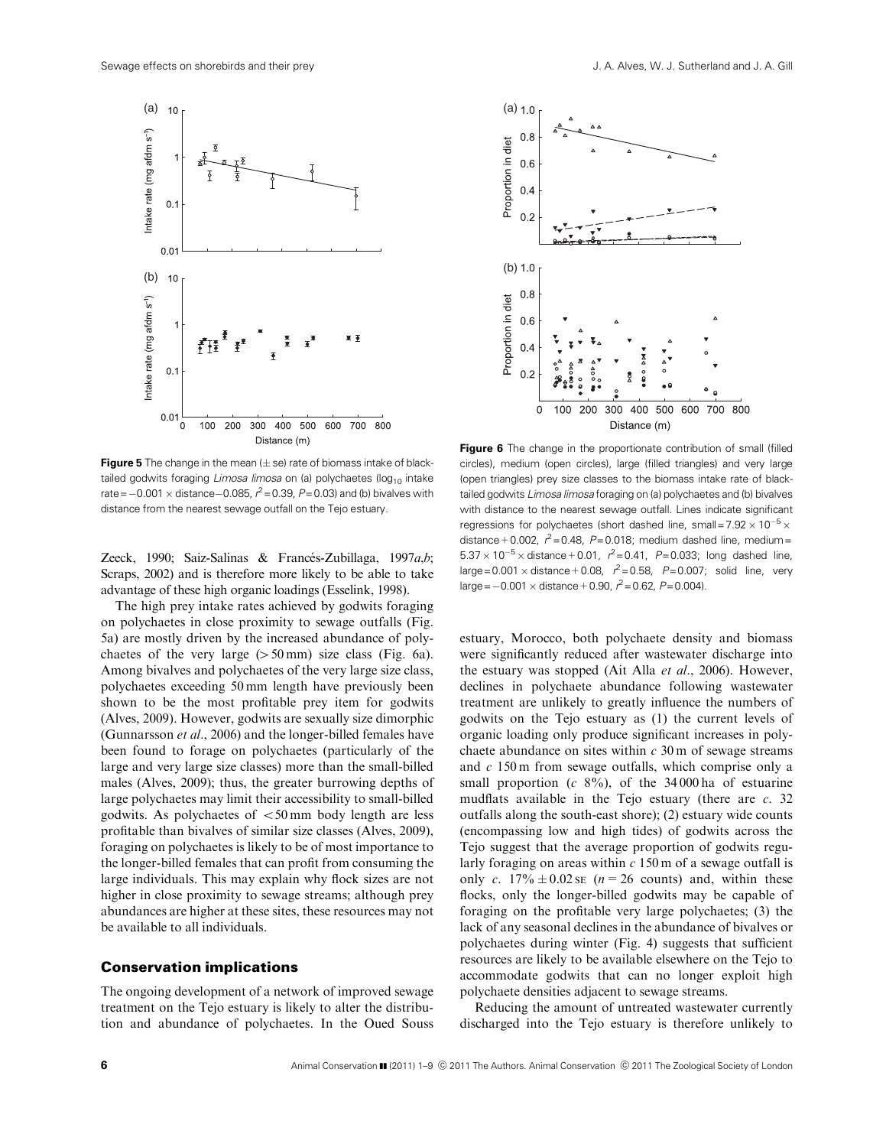

**Figure 5** The change in the mean  $(\pm$  se) rate of biomass intake of blacktailed godwits foraging *Limosa limosa* on (a) polychaetes ( $log<sub>10</sub>$  intake rate= $-0.001 \times$  distance $-0.085$ ,  $r^2 = 0.39$ ,  $P = 0.03$ ) and (b) bivalves with distance from the nearest sewage outfall on the Tejo estuary.

Zeeck, 1990; Saiz-Salinas & Francés-Zubillaga, 1997 $a,b$ ; Scraps, 2002) and is therefore more likely to be able to take advantage of these high organic loadings (Esselink, 1998).

The high prey intake rates achieved by godwits foraging on polychaetes in close proximity to sewage outfalls (Fig. 5a) are mostly driven by the increased abundance of polychaetes of the very large  $(50 \text{ mm})$  size class (Fig. 6a). Among bivalves and polychaetes of the very large size class, polychaetes exceeding 50 mm length have previously been shown to be the most profitable prey item for godwits (Alves, 2009). However, godwits are sexually size dimorphic (Gunnarsson et al., 2006) and the longer-billed females have been found to forage on polychaetes (particularly of the large and very large size classes) more than the small-billed males (Alves, 2009); thus, the greater burrowing depths of large polychaetes may limit their accessibility to small-billed godwits. As polychaetes of  $<$ 50 mm body length are less profitable than bivalves of similar size classes (Alves, 2009), foraging on polychaetes is likely to be of most importance to the longer-billed females that can profit from consuming the large individuals. This may explain why flock sizes are not higher in close proximity to sewage streams; although prey abundances are higher at these sites, these resources may not be available to all individuals.

#### Conservation implications

The ongoing development of a network of improved sewage treatment on the Tejo estuary is likely to alter the distribution and abundance of polychaetes. In the Oued Souss



Figure 6 The change in the proportionate contribution of small (filled circles), medium (open circles), large (filled triangles) and very large (open triangles) prey size classes to the biomass intake rate of blacktailed godwits Limosa limosa foraging on (a) polychaetes and (b) bivalves with distance to the nearest sewage outfall. Lines indicate significant regressions for polychaetes (short dashed line, small=7.92  $\times$  10<sup>-5</sup>  $\times$ distance + 0.002,  $r^2$  = 0.48, P = 0.018; medium dashed line, medium =  $5.37 \times 10^{-5} \times$  distance + 0.01,  $r^2 = 0.41$ ,  $P = 0.033$ ; long dashed line, large=0.001  $\times$  distance + 0.08,  $r^2$ =0.58, P=0.007; solid line, very large =  $-0.001 \times$  distance + 0.90,  $r^2$  = 0.62, P = 0.004).

estuary, Morocco, both polychaete density and biomass were significantly reduced after wastewater discharge into the estuary was stopped (Ait Alla et al., 2006). However, declines in polychaete abundance following wastewater treatment are unlikely to greatly influence the numbers of godwits on the Tejo estuary as (1) the current levels of organic loading only produce significant increases in polychaete abundance on sites within  $c$  30 m of sewage streams and c 150 m from sewage outfalls, which comprise only a small proportion ( $c \ 8\%$ ), of the 34000 ha of estuarine mudflats available in the Tejo estuary (there are  $c$ . 32 outfalls along the south-east shore); (2) estuary wide counts (encompassing low and high tides) of godwits across the Tejo suggest that the average proportion of godwits regularly foraging on areas within  $c$  150 m of a sewage outfall is only c.  $17\% \pm 0.02$  SE (n = 26 counts) and, within these flocks, only the longer-billed godwits may be capable of foraging on the profitable very large polychaetes; (3) the lack of any seasonal declines in the abundance of bivalves or polychaetes during winter (Fig. 4) suggests that sufficient resources are likely to be available elsewhere on the Tejo to accommodate godwits that can no longer exploit high polychaete densities adjacent to sewage streams.

Reducing the amount of untreated wastewater currently discharged into the Tejo estuary is therefore unlikely to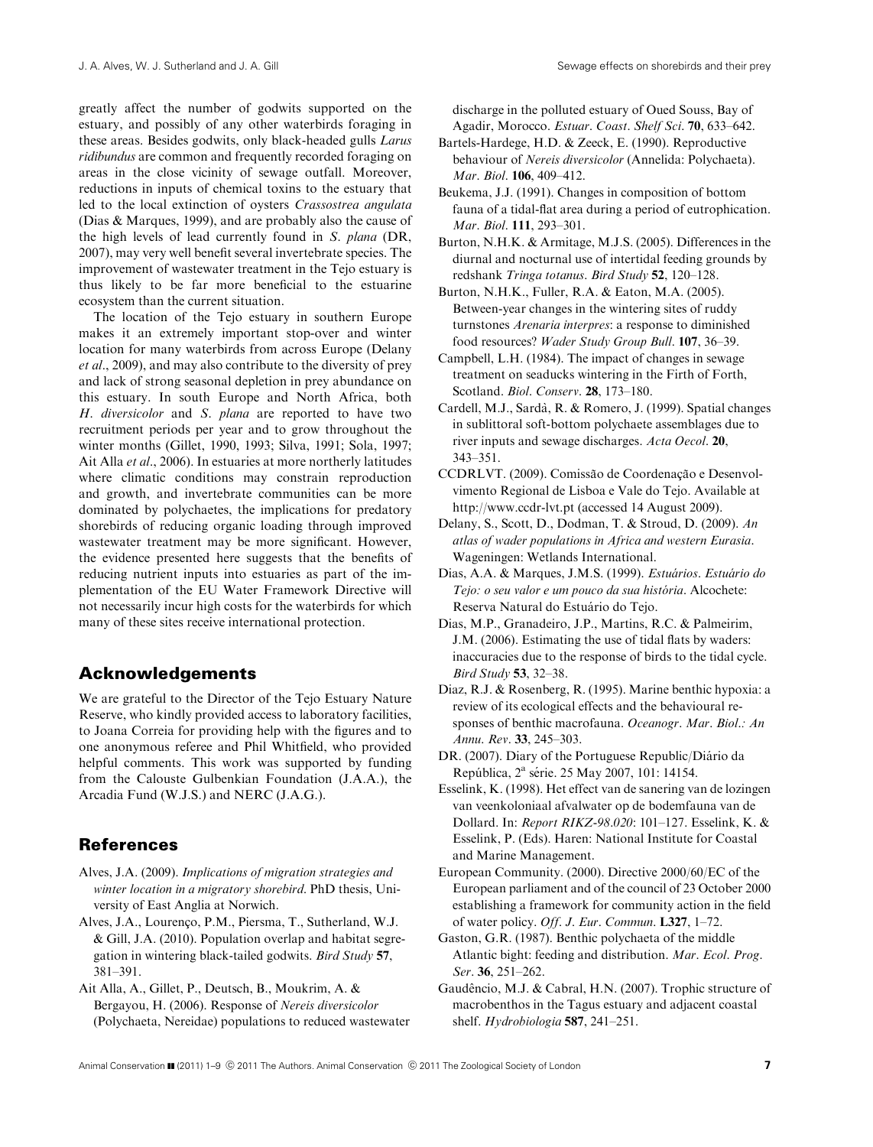greatly affect the number of godwits supported on the estuary, and possibly of any other waterbirds foraging in these areas. Besides godwits, only black-headed gulls Larus ridibundus are common and frequently recorded foraging on areas in the close vicinity of sewage outfall. Moreover, reductions in inputs of chemical toxins to the estuary that led to the local extinction of oysters Crassostrea angulata (Dias & Marques, 1999), and are probably also the cause of the high levels of lead currently found in S. plana (DR, 2007), may very well benefit several invertebrate species. The improvement of wastewater treatment in the Tejo estuary is thus likely to be far more beneficial to the estuarine ecosystem than the current situation.

The location of the Tejo estuary in southern Europe makes it an extremely important stop-over and winter location for many waterbirds from across Europe (Delany et al., 2009), and may also contribute to the diversity of prey and lack of strong seasonal depletion in prey abundance on this estuary. In south Europe and North Africa, both H. diversicolor and S. plana are reported to have two recruitment periods per year and to grow throughout the winter months (Gillet, 1990, 1993; Silva, 1991; Sola, 1997; Ait Alla et al., 2006). In estuaries at more northerly latitudes where climatic conditions may constrain reproduction and growth, and invertebrate communities can be more dominated by polychaetes, the implications for predatory shorebirds of reducing organic loading through improved wastewater treatment may be more significant. However, the evidence presented here suggests that the benefits of reducing nutrient inputs into estuaries as part of the implementation of the EU Water Framework Directive will not necessarily incur high costs for the waterbirds for which many of these sites receive international protection.

# Acknowledgements

We are grateful to the Director of the Tejo Estuary Nature Reserve, who kindly provided access to laboratory facilities, to Joana Correia for providing help with the figures and to one anonymous referee and Phil Whitfield, who provided helpful comments. This work was supported by funding from the Calouste Gulbenkian Foundation (J.A.A.), the Arcadia Fund (W.J.S.) and NERC (J.A.G.).

# References

- Alves, J.A. (2009). Implications of migration strategies and winter location in a migratory shorebird. PhD thesis, University of East Anglia at Norwich.
- Alves, J.A., Lourenco, P.M., Piersma, T., Sutherland, W.J. & Gill, J.A. (2010). Population overlap and habitat segregation in wintering black-tailed godwits. Bird Study 57, 381–391.
- Ait Alla, A., Gillet, P., Deutsch, B., Moukrim, A. & Bergayou, H. (2006). Response of Nereis diversicolor (Polychaeta, Nereidae) populations to reduced wastewater

discharge in the polluted estuary of Oued Souss, Bay of Agadir, Morocco. Estuar. Coast. Shelf Sci. 70, 633–642.

- Bartels-Hardege, H.D. & Zeeck, E. (1990). Reproductive behaviour of Nereis diversicolor (Annelida: Polychaeta). Mar. Biol. 106, 409–412.
- Beukema, J.J. (1991). Changes in composition of bottom fauna of a tidal-flat area during a period of eutrophication. Mar. Biol. 111, 293–301.
- Burton, N.H.K. & Armitage, M.J.S. (2005). Differences in the diurnal and nocturnal use of intertidal feeding grounds by redshank Tringa totanus. Bird Study 52, 120–128.
- Burton, N.H.K., Fuller, R.A. & Eaton, M.A. (2005). Between-year changes in the wintering sites of ruddy turnstones Arenaria interpres: a response to diminished food resources? Wader Study Group Bull. 107, 36–39.
- Campbell, L.H. (1984). The impact of changes in sewage treatment on seaducks wintering in the Firth of Forth, Scotland. Biol. Conserv. 28, 173–180.
- Cardell, M.J., Sardà, R. & Romero, J. (1999). Spatial changes in sublittoral soft-bottom polychaete assemblages due to river inputs and sewage discharges. Acta Oecol. 20, 343–351.
- CCDRLVT. (2009). Comissão de Coordenação e Desenvolvimento Regional de Lisboa e Vale do Tejo. Available at <http://www.ccdr-lvt.pt> (accessed 14 August 2009).
- Delany, S., Scott, D., Dodman, T. & Stroud, D. (2009). An atlas of wader populations in Africa and western Eurasia. Wageningen: Wetlands International.
- Dias, A.A. & Marques, J.M.S. (1999). Estuários. Estuário do Tejo: o seu valor e um pouco da sua história. Alcochete: Reserva Natural do Estuário do Tejo.
- Dias, M.P., Granadeiro, J.P., Martins, R.C. & Palmeirim, J.M. (2006). Estimating the use of tidal flats by waders: inaccuracies due to the response of birds to the tidal cycle. Bird Study 53, 32–38.
- Diaz, R.J. & Rosenberg, R. (1995). Marine benthic hypoxia: a review of its ecological effects and the behavioural responses of benthic macrofauna. Oceanogr. Mar. Biol.: An Annu. Rev. 33, 245–303.
- DR. (2007). Diary of the Portuguese Republic/Diário da República, 2<sup>ª</sup> série. 25 May 2007, 101: 14154.
- Esselink, K. (1998). Het effect van de sanering van de lozingen van veenkoloniaal afvalwater op de bodemfauna van de Dollard. In: Report RIKZ-98.020: 101–127. Esselink, K. & Esselink, P. (Eds). Haren: National Institute for Coastal and Marine Management.
- European Community. (2000). Directive 2000/60/EC of the European parliament and of the council of 23 October 2000 establishing a framework for community action in the field of water policy. Off. J. Eur. Commun. L327, 1–72.
- Gaston, G.R. (1987). Benthic polychaeta of the middle Atlantic bight: feeding and distribution. Mar. Ecol. Prog. Ser. 36, 251–262.
- Gaudêncio, M.J. & Cabral, H.N. (2007). Trophic structure of macrobenthos in the Tagus estuary and adjacent coastal shelf. Hydrobiologia 587, 241-251.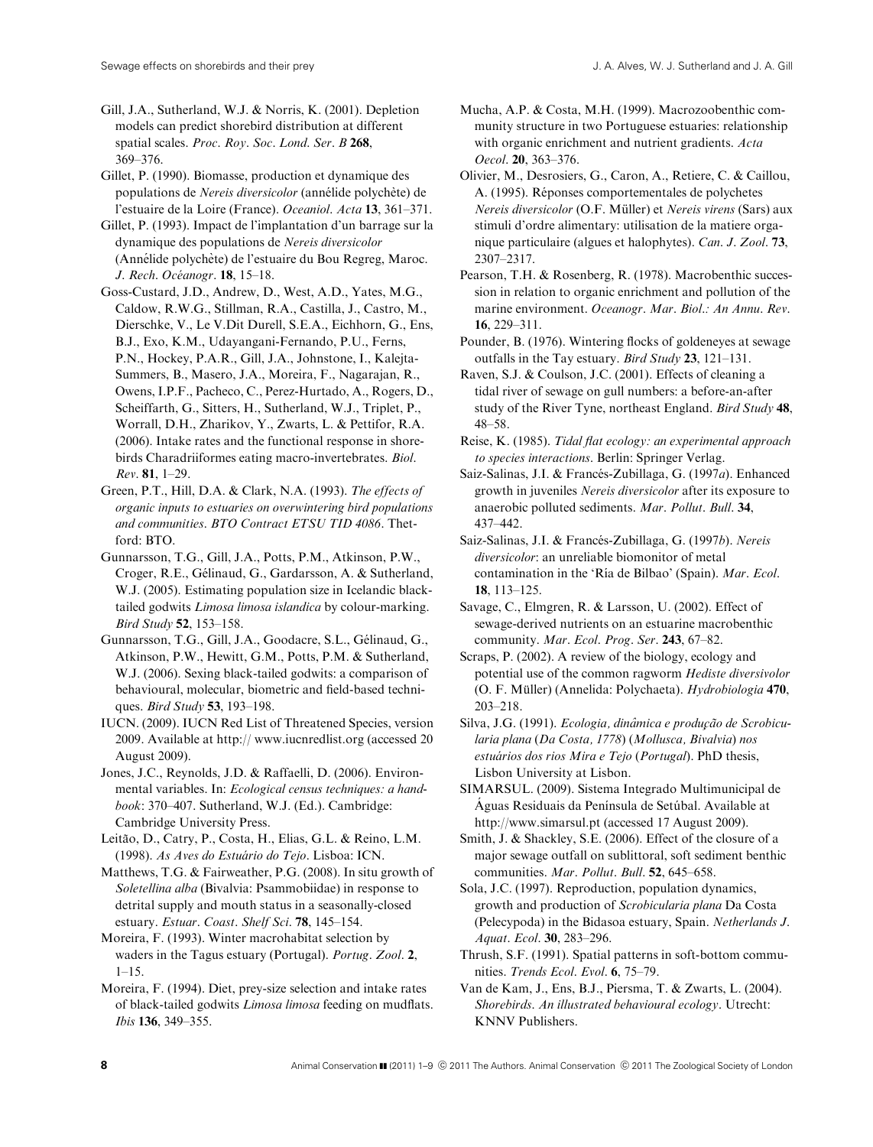Gill, J.A., Sutherland, W.J. & Norris, K. (2001). Depletion models can predict shorebird distribution at different spatial scales. Proc. Roy. Soc. Lond. Ser. B 268, 369–376.

Gillet, P. (1990). Biomasse, production et dynamique des populations de Nereis diversicolor (annélide polychète) de l'estuaire de la Loire (France). Oceaniol. Acta 13, 361–371.

Gillet, P. (1993). Impact de l'implantation d'un barrage sur la dynamique des populations de Nereis diversicolor (Annélide polychète) de l'estuaire du Bou Regreg, Maroc. J. Rech. Océanogr. 18, 15–18.

Goss-Custard, J.D., Andrew, D., West, A.D., Yates, M.G., Caldow, R.W.G., Stillman, R.A., Castilla, J., Castro, M., Dierschke, V., Le V.Dit Durell, S.E.A., Eichhorn, G., Ens, B.J., Exo, K.M., Udayangani-Fernando, P.U., Ferns, P.N., Hockey, P.A.R., Gill, J.A., Johnstone, I., Kalejta-Summers, B., Masero, J.A., Moreira, F., Nagarajan, R., Owens, I.P.F., Pacheco, C., Perez-Hurtado, A., Rogers, D., Scheiffarth, G., Sitters, H., Sutherland, W.J., Triplet, P., Worrall, D.H., Zharikov, Y., Zwarts, L. & Pettifor, R.A. (2006). Intake rates and the functional response in shorebirds Charadriiformes eating macro-invertebrates. Biol. Rev. 81, 1–29.

Green, P.T., Hill, D.A. & Clark, N.A. (1993). The effects of organic inputs to estuaries on overwintering bird populations and communities. BTO Contract ETSU TID 4086. Thetford: BTO.

Gunnarsson, T.G., Gill, J.A., Potts, P.M., Atkinson, P.W., Croger, R.E., Gelinaud, G., Gardarsson, A. & Sutherland, ´ W.J. (2005). Estimating population size in Icelandic blacktailed godwits Limosa limosa islandica by colour-marking. Bird Study 52, 153–158.

Gunnarsson, T.G., Gill, J.A., Goodacre, S.L., Gelinaud, G., ´ Atkinson, P.W., Hewitt, G.M., Potts, P.M. & Sutherland, W.J. (2006). Sexing black-tailed godwits: a comparison of behavioural, molecular, biometric and field-based techniques. Bird Study 53, 193–198.

IUCN. (2009). IUCN Red List of Threatened Species, version 2009. Available at<http:// www.iucnredlist.org> (accessed 20 August 2009).

Jones, J.C., Reynolds, J.D. & Raffaelli, D. (2006). Environmental variables. In: Ecological census techniques: a handbook: 370–407. Sutherland, W.J. (Ed.). Cambridge: Cambridge University Press.

Leitão, D., Catry, P., Costa, H., Elias, G.L. & Reino, L.M. (1998). As Aves do Estuário do Tejo. Lisboa: ICN.

Matthews, T.G. & Fairweather, P.G. (2008). In situ growth of Soletellina alba (Bivalvia: Psammobiidae) in response to detrital supply and mouth status in a seasonally-closed estuary. Estuar. Coast. Shelf Sci. 78, 145–154.

Moreira, F. (1993). Winter macrohabitat selection by waders in the Tagus estuary (Portugal). Portug. Zool. 2, 1–15.

Moreira, F. (1994). Diet, prey-size selection and intake rates of black-tailed godwits Limosa limosa feeding on mudflats. Ibis 136, 349–355.

Mucha, A.P. & Costa, M.H. (1999). Macrozoobenthic community structure in two Portuguese estuaries: relationship with organic enrichment and nutrient gradients. Acta Oecol. 20, 363–376.

Olivier, M., Desrosiers, G., Caron, A., Retiere, C. & Caillou, A. (1995). Réponses comportementales de polychetes Nereis diversicolor (O.F. Müller) et Nereis virens (Sars) aux stimuli d'ordre alimentary: utilisation de la matiere organique particulaire (algues et halophytes). Can. J. Zool. 73, 2307–2317.

Pearson, T.H. & Rosenberg, R. (1978). Macrobenthic succession in relation to organic enrichment and pollution of the marine environment. Oceanogr. Mar. Biol.: An Annu. Rev. 16, 229–311.

Pounder, B. (1976). Wintering flocks of goldeneyes at sewage outfalls in the Tay estuary. Bird Study 23, 121–131.

Raven, S.J. & Coulson, J.C. (2001). Effects of cleaning a tidal river of sewage on gull numbers: a before-an-after study of the River Tyne, northeast England. Bird Study 48, 48–58.

Reise, K. (1985). Tidal flat ecology: an experimental approach to species interactions. Berlin: Springer Verlag.

Saiz-Salinas, J.I. & Francés-Zubillaga, G. (1997a). Enhanced growth in juveniles Nereis diversicolor after its exposure to anaerobic polluted sediments. Mar. Pollut. Bull. 34, 437–442.

Saiz-Salinas, J.I. & Francés-Zubillaga, G. (1997b). Nereis diversicolor: an unreliable biomonitor of metal contamination in the 'Ría de Bilbao' (Spain). Mar. Ecol. 18, 113–125.

Savage, C., Elmgren, R. & Larsson, U. (2002). Effect of sewage-derived nutrients on an estuarine macrobenthic community. Mar. Ecol. Prog. Ser. 243, 67-82.

Scraps, P. (2002). A review of the biology, ecology and potential use of the common ragworm Hediste diversivolor (O. F. Müller) (Annelida: Polychaeta). Hydrobiologia 470, 203–218.

Silva, J.G. (1991). Ecologia, dinâmica e produção de Scrobicularia plana (Da Costa, 1778) (Mollusca, Bivalvia) nos estuários dos rios Mira e Tejo (Portugal). PhD thesis, Lisbon University at Lisbon.

SIMARSUL. (2009). Sistema Integrado Multimunicipal de Aguas Residuais da Península de Setúbal. Available at <http://www.simarsul.pt> (accessed 17 August 2009).

Smith, J. & Shackley, S.E. (2006). Effect of the closure of a major sewage outfall on sublittoral, soft sediment benthic communities. Mar. Pollut. Bull. 52, 645–658.

Sola, J.C. (1997). Reproduction, population dynamics, growth and production of Scrobicularia plana Da Costa (Pelecypoda) in the Bidasoa estuary, Spain. Netherlands J. Aquat. Ecol. 30, 283–296.

Thrush, S.F. (1991). Spatial patterns in soft-bottom communities. Trends Ecol. Evol. 6, 75–79.

Van de Kam, J., Ens, B.J., Piersma, T. & Zwarts, L. (2004). Shorebirds. An illustrated behavioural ecology. Utrecht: KNNV Publishers.